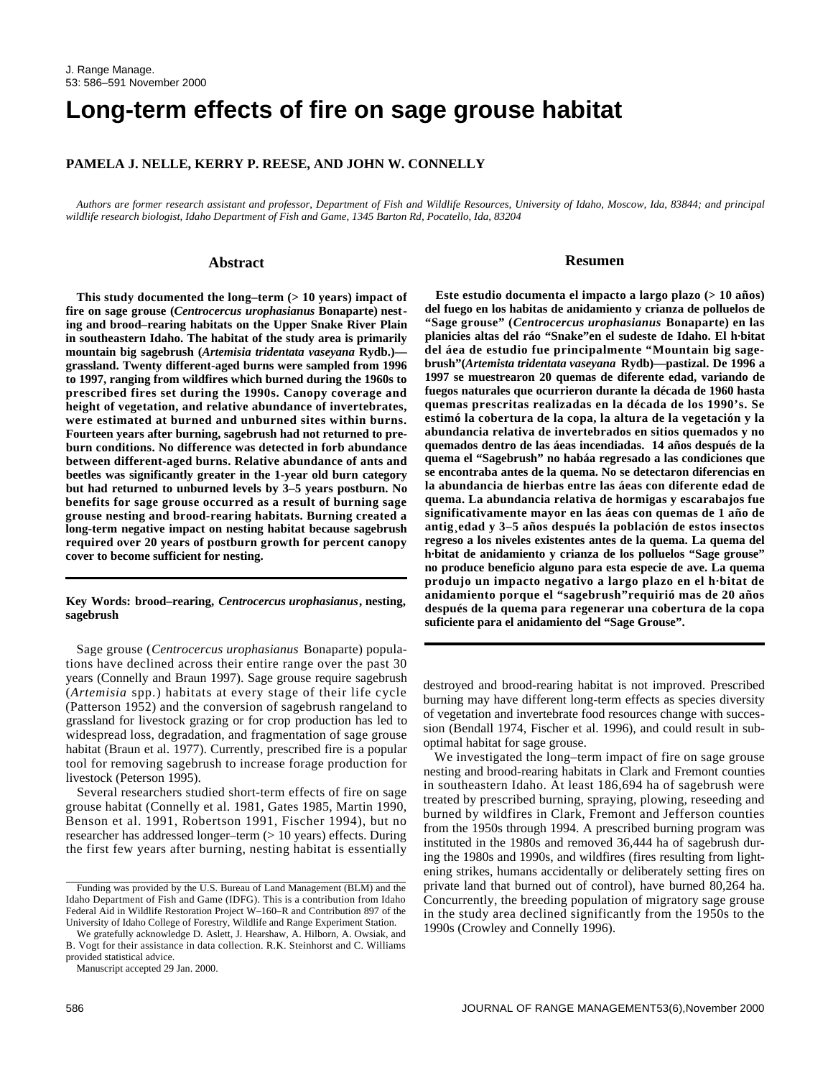# **Long-term effects of fire on sage grouse habitat**

### **PAMELA J. NELLE, KERRY P. REESE, AND JOHN W. CONNELLY**

*Authors are former research assistant and professor, Department of Fish and Wildlife Resources, University of Idaho, Moscow, Ida, 83844; and principal wildlife research biologist, Idaho Department of Fish and Game, 1345 Barton Rd, Pocatello, Ida, 83204*

## **Abstract**

**This study documented the long–term (> 10 years) impact of fire on sage grouse (***Centrocercus urophasianus* **Bonaparte) nesting and brood–rearing habitats on the Upper Snake River Plain in southeastern Idaho. The habitat of the study area is primarily mountain big sagebrush (***Artemisia tridentata vaseyana* **Rydb.) grassland. Twenty different-aged burns were sampled from 1996 to 1997, ranging from wildfires which burned during the 1960s to prescribed fires set during the 1990s. Canopy coverage and height of vegetation, and relative abundance of invertebrates, were estimated at burned and unburned sites within burns. Fourteen years after burning, sagebrush had not returned to preburn conditions. No difference was detected in forb abundance between different-aged burns. Relative abundance of ants and beetles was significantly greater in the 1-year old burn category but had returned to unburned levels by 3–5 years postburn. No benefits for sage grouse occurred as a result of burning sage grouse nesting and brood-rearing habitats. Burning created a long-term negative impact on nesting habitat because sagebrush required over 20 years of postburn growth for percent canopy cover to become sufficient for nesting.** 

#### **Key Words: brood–rearing,** *Centrocercus urophasianus***, nesting, sagebrush**

Sage grouse (*Centrocercus urophasianus* Bonaparte) populations have declined across their entire range over the past 30 years (Connelly and Braun 1997). Sage grouse require sagebrush (*Artemisia* spp.) habitats at every stage of their life cycle (Patterson 1952) and the conversion of sagebrush rangeland to grassland for livestock grazing or for crop production has led to widespread loss, degradation, and fragmentation of sage grouse habitat (Braun et al. 1977). Currently, prescribed fire is a popular tool for removing sagebrush to increase forage production for livestock (Peterson 1995).

Several researchers studied short-term effects of fire on sage grouse habitat (Connelly et al. 1981, Gates 1985, Martin 1990, Benson et al. 1991, Robertson 1991, Fischer 1994), but no researcher has addressed longer–term (> 10 years) effects. During the first few years after burning, nesting habitat is essentially

#### **Resumen**

**Este estudio documenta el impacto a largo plazo (> 10 años) del fuego en los habitas de anidamiento y crianza de polluelos de "Sage grouse" (***Centrocercus urophasianus* **Bonaparte) en las planicies altas del ráo "Snake"en el sudeste de Idaho. El h·bitat del áea de estudio fue principalmente "Mountain big sagebrush"(***Artemista tridentata vaseyana* **Rydb)—pastizal. De 1996 a 1997 se muestrearon 20 quemas de diferente edad, variando de fuegos naturales que ocurrieron durante la década de 1960 hasta quemas prescritas realizadas en la década de los 1990's. Se estimó la cobertura de la copa, la altura de la vegetación y la abundancia relativa de invertebrados en sitios quemados y no quemados dentro de las áeas incendiadas. 14 años después de la quema el "Sagebrush" no habáa regresado a las condiciones que se encontraba antes de la quema. No se detectaron diferencias en la abundancia de hierbas entre las áeas con diferente edad de quema. La abundancia relativa de hormigas y escarabajos fue significativamente mayor en las áeas con quemas de 1 año de antig¸edad y 3–5 años después la población de estos insectos regreso a los niveles existentes antes de la quema. La quema del h·bitat de anidamiento y crianza de los polluelos "Sage grouse" no produce beneficio alguno para esta especie de ave. La quema produjo un impacto negativo a largo plazo en el h·bitat de anidamiento porque el "sagebrush"requirió mas de 20 años después de la quema para regenerar una cobertura de la copa suficiente para el anidamiento del "Sage Grouse".**

destroyed and brood-rearing habitat is not improved. Prescribed burning may have different long-term effects as species diversity of vegetation and invertebrate food resources change with succession (Bendall 1974, Fischer et al. 1996), and could result in suboptimal habitat for sage grouse.

We investigated the long–term impact of fire on sage grouse nesting and brood-rearing habitats in Clark and Fremont counties in southeastern Idaho. At least 186,694 ha of sagebrush were treated by prescribed burning, spraying, plowing, reseeding and burned by wildfires in Clark, Fremont and Jefferson counties from the 1950s through 1994. A prescribed burning program was instituted in the 1980s and removed 36,444 ha of sagebrush during the 1980s and 1990s, and wildfires (fires resulting from lightening strikes, humans accidentally or deliberately setting fires on private land that burned out of control), have burned 80,264 ha. Concurrently, the breeding population of migratory sage grouse in the study area declined significantly from the 1950s to the 1990s (Crowley and Connelly 1996).

Funding was provided by the U.S. Bureau of Land Management (BLM) and the Idaho Department of Fish and Game (IDFG). This is a contribution from Idaho Federal Aid in Wildlife Restoration Project W–160–R and Contribution 897 of the University of Idaho College of Forestry, Wildlife and Range Experiment Station.

We gratefully acknowledge D. Aslett, J. Hearshaw, A. Hilborn, A. Owsiak, and B. Vogt for their assistance in data collection. R.K. Steinhorst and C. Williams provided statistical advice.

Manuscript accepted 29 Jan. 2000.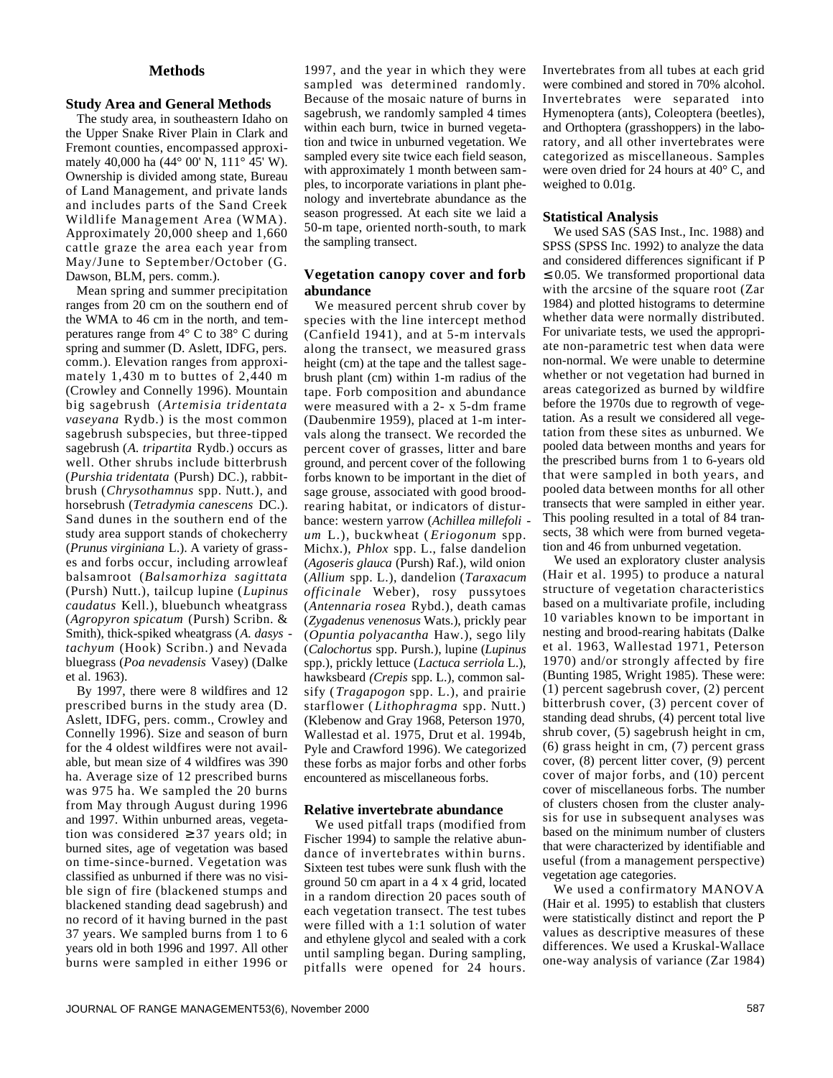## **Methods**

## **Study Area and General Methods**

The study area, in southeastern Idaho on the Upper Snake River Plain in Clark and Fremont counties, encompassed approximately 40,000 ha (44° 00' N, 111° 45' W). Ownership is divided among state, Bureau of Land Management, and private lands and includes parts of the Sand Creek Wildlife Management Area (WMA). Approximately 20,000 sheep and 1,660 cattle graze the area each year from May/June to September/October (G. Dawson, BLM, pers. comm.).

Mean spring and summer precipitation ranges from 20 cm on the southern end of the WMA to 46 cm in the north, and temperatures range from 4° C to 38° C during spring and summer (D. Aslett, IDFG, pers. comm.). Elevation ranges from approximately 1,430 m to buttes of 2,440 m (Crowley and Connelly 1996). Mountain big sagebrush (*Artemisia tridentata vaseyana* Rydb.) is the most common sagebrush subspecies, but three-tipped sagebrush (*A. tripartita* Rydb.) occurs as well. Other shrubs include bitterbrush (*Purshia tridentata* (Pursh) DC.), rabbitbrush (*Chrysothamnus* spp. Nutt.), and horsebrush (*Tetradymia canescens* DC.). Sand dunes in the southern end of the study area support stands of chokecherry (*Prunus virginiana* L.). A variety of grasses and forbs occur, including arrowleaf balsamroot (*Balsamorhiza sagittata* (Pursh) Nutt.), tailcup lupine (*Lupinus caudatus* Kell.), bluebunch wheatgrass (*Agropyron spicatum* (Pursh) Scribn. & Smith), thick-spiked wheatgrass (*A. dasys*  tachyum (Hook) Scribn.) and Nevada bluegrass (*Poa nevadensis* Vasey) (Dalke et al. 1963).

By 1997, there were 8 wildfires and 12 prescribed burns in the study area (D. Aslett, IDFG, pers. comm., Crowley and Connelly 1996). Size and season of burn for the 4 oldest wildfires were not available, but mean size of 4 wildfires was 390 ha. Average size of 12 prescribed burns was 975 ha. We sampled the 20 burns from May through August during 1996 and 1997. Within unburned areas, vegetation was considered 37 years old; in burned sites, age of vegetation was based on time-since-burned. Vegetation was classified as unburned if there was no visible sign of fire (blackened stumps and blackened standing dead sagebrush) and no record of it having burned in the past 37 years. We sampled burns from 1 to 6 years old in both 1996 and 1997. All other burns were sampled in either 1996 or

1997, and the year in which they were sampled was determined randomly. Because of the mosaic nature of burns in sagebrush, we randomly sampled 4 times within each burn, twice in burned vegetation and twice in unburned vegetation. We sampled every site twice each field season, with approximately 1 month between samples, to incorporate variations in plant phenology and invertebrate abundance as the season progressed. At each site we laid a 50-m tape, oriented north-south, to mark the sampling transect.

### **Vegetation canopy cover and forb abundance**

We measured percent shrub cover by species with the line intercept method (Canfield 1941), and at 5-m intervals along the transect, we measured grass height (cm) at the tape and the tallest sagebrush plant (cm) within 1-m radius of the tape. Forb composition and abundance were measured with a 2- x 5-dm frame (Daubenmire 1959), placed at 1-m intervals along the transect. We recorded the percent cover of grasses, litter and bare ground, and percent cover of the following forbs known to be important in the diet of sage grouse, associated with good broodrearing habitat, or indicators of disturbance: western yarrow (*Achillea millefoli um* L.), buckwheat (*Eriogonum* spp. Michx.), *Phlox* spp. L., false dandelion (*Agoseris glauca* (Pursh) Raf.), wild onion (*Allium spp. L.*), dandelion (*Taraxacum officinale* Weber), rosy pussytoes (*Antennaria rosea* Rybd.), death camas (*Zygadenus venenosus* Wats.), prickly pear (*Opuntia polyacantha* Haw.), sego lily (*Calochortus* spp. Pursh.), lupine (*Lupinus* spp.), prickly lettuce (*Lactuca serriola L.*), hawksbeard *(Crepis spp. L.)*, common salsify (*Tragapogon* spp. L.), and prairie starflower (*Lithophragma* spp. Nutt.) (Klebenow and Gray 1968, Peterson 1970, Wallestad et al. 1975, Drut et al. 1994b, Pyle and Crawford 1996). We categorized these forbs as major forbs and other forbs encountered as miscellaneous forbs.

#### **Relative invertebrate abundance**

We used pitfall traps (modified from Fischer 1994) to sample the relative abundance of invertebrates within burns. Sixteen test tubes were sunk flush with the ground 50 cm apart in a 4 x 4 grid, located in a random direction 20 paces south of each vegetation transect. The test tubes were filled with a 1:1 solution of water and ethylene glycol and sealed with a cork until sampling began. During sampling, pitfalls were opened for 24 hours.

Invertebrates from all tubes at each grid were combined and stored in 70% alcohol. Invertebrates were separated into Hymenoptera (ants), Coleoptera (beetles), and Orthoptera (grasshoppers) in the laboratory, and all other invertebrates were categorized as miscellaneous. Samples were oven dried for 24 hours at 40° C, and weighed to 0.01g.

## **Statistical Analysis**

We used SAS (SAS Inst., Inc. 1988) and SPSS (SPSS Inc. 1992) to analyze the data and considered differences significant if P

 0.05. We transformed proportional data with the arcsine of the square root (Zar 1984) and plotted histograms to determine whether data were normally distributed. For univariate tests, we used the appropriate non-parametric test when data were non-normal. We were unable to determine whether or not vegetation had burned in areas categorized as burned by wildfire before the 1970s due to regrowth of vegetation. As a result we considered all vegetation from these sites as unburned. We pooled data between months and years for the prescribed burns from 1 to 6-years old that were sampled in both years, and pooled data between months for all other transects that were sampled in either year. This pooling resulted in a total of 84 transects, 38 which were from burned vegetation and 46 from unburned vegetation.

We used an exploratory cluster analysis (Hair et al. 1995) to produce a natural structure of vegetation characteristics based on a multivariate profile, including 10 variables known to be important in nesting and brood-rearing habitats (Dalke et al. 1963, Wallestad 1971, Peterson 1970) and/or strongly affected by fire (Bunting 1985, Wright 1985). These were: (1) percent sagebrush cover, (2) percent bitterbrush cover, (3) percent cover of standing dead shrubs,  $(4)$  percent total live shrub cover, (5) sagebrush height in cm, (6) grass height in cm, (7) percent grass cover, (8) percent litter cover, (9) percent cover of major forbs, and (10) percent cover of miscellaneous forbs. The number of clusters chosen from the cluster analysis for use in subsequent analyses was based on the minimum number of clusters that were characterized by identifiable and useful (from a management perspective) vegetation age categories.

We used a confirmatory MANOVA (Hair et al. 1995) to establish that clusters were statistically distinct and report the P values as descriptive measures of these differences. We used a Kruskal-Wallace one-way analysis of variance (Zar 1984)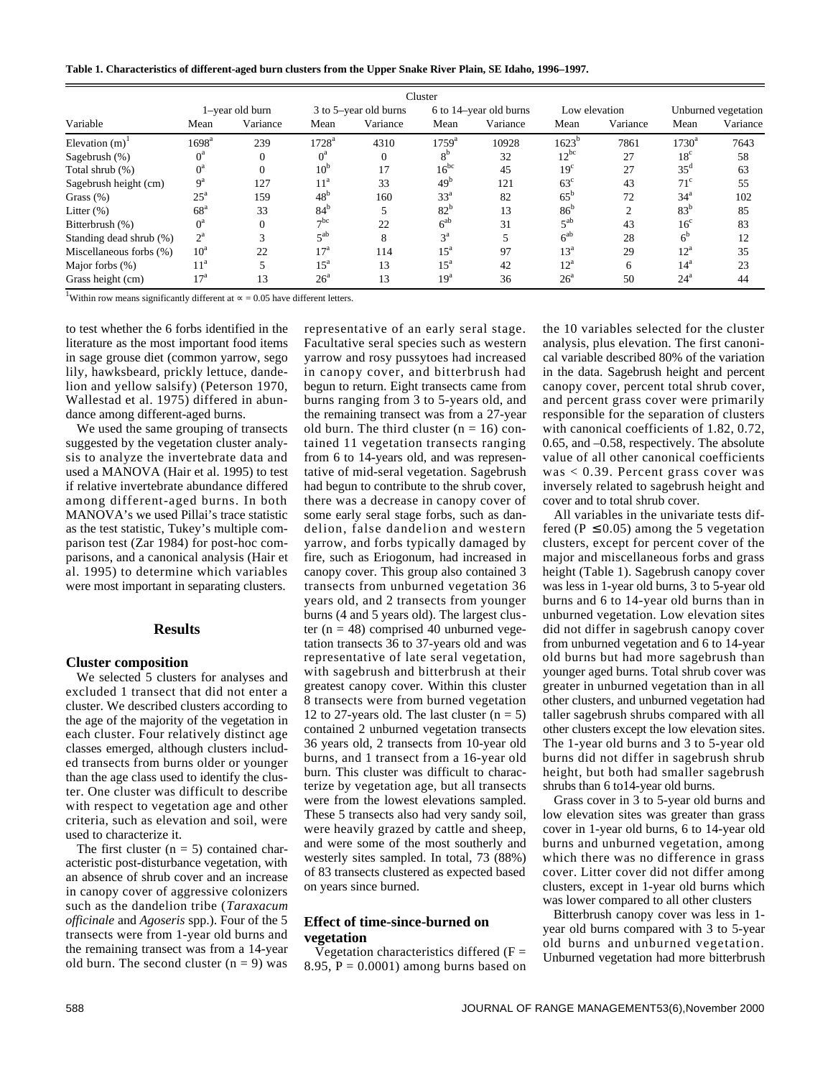**Table 1. Characteristics of different-aged burn clusters from the Upper Snake River Plain, SE Idaho, 1996–1997.**

|                              | Cluster         |          |                       |          |                        |          |                 |          |                     |          |
|------------------------------|-----------------|----------|-----------------------|----------|------------------------|----------|-----------------|----------|---------------------|----------|
| Variable                     | 1-year old burn |          | 3 to 5-year old burns |          | 6 to 14–year old burns |          | Low elevation   |          | Unburned vegetation |          |
|                              | Mean            | Variance | Mean                  | Variance | Mean                   | Variance | Mean            | Variance | Mean                | Variance |
| Elevation $(m)$ <sup>'</sup> | $1698^{\rm a}$  | 239      | $1728^{\mathrm{a}}$   | 4310     | $1759^{\rm a}$         | 10928    | $1623^{b}$      | 7861     | $1730^{\rm a}$      | 7643     |
| Sagebrush $(\%)$             | $0^{\rm a}$     |          | $0^a$                 | 0        | 8 <sup>b</sup>         | 32       | $12^{bc}$       | 27       | 18 <sup>c</sup>     | 58       |
| Total shrub (%)              | $0^{\rm a}$     |          | 10 <sup>b</sup>       | 17       | $16^{bc}$              | 45       | 19 <sup>c</sup> | 27       | $35^{\circ}$        | 63       |
| Sagebrush height (cm)        | 9 <sup>a</sup>  | 127      | 11 <sup>a</sup>       | 33       | 49 <sup>b</sup>        | 121      | $63^{\circ}$    | 43       | $71^{\circ}$        | 55       |
| Grass $(\%)$                 | $25^{\rm a}$    | 159      | 48 <sup>b</sup>       | 160      | 33 <sup>a</sup>        | 82       | $65^{\rm b}$    | 72       | 34 <sup>a</sup>     | 102      |
| Litter $(\% )$               | 68 <sup>a</sup> | 33       | 84 <sup>b</sup>       |          | 82 <sup>b</sup>        | 13       | 86 <sup>b</sup> | $\sim$   | 83 <sup>b</sup>     | 85       |
| Bitterbrush (%)              | $0^{\rm a}$     |          | $\tau$ bc             | 22       | $6^{ab}$               | 31       | $\epsilon$ ab   | 43       | 16 <sup>c</sup>     | 83       |
| Standing dead shrub (%)      | $2^{\rm a}$     |          | 5a                    | 8        | $3^{\mathrm{a}}$       |          | $6^{ab}$        | 28       | 6 <sup>b</sup>      | 12       |
| Miscellaneous forbs (%)      | 10 <sup>a</sup> | 22       | 17 <sup>a</sup>       | 114      | $15^{\mathrm{a}}$      | 97       | 13 <sup>a</sup> | 29       | $12^{\rm a}$        | 35       |
| Major forbs (%)              | 11 <sup>a</sup> |          | 15 <sup>a</sup>       | 13       | $15^{\mathrm{a}}$      | 42       | $12^{\rm a}$    | 6        | 14 <sup>a</sup>     | 23       |
| Grass height (cm)            | 17 <sup>a</sup> | 13       | $26^{\circ}$          | 13       | 19 <sup>a</sup>        | 36       | $26^{\circ}$    | 50       | $24^{\mathrm{a}}$   | 44       |

<sup>1</sup>Within row means significantly different at  $= 0.05$  have different letters.

to test whether the 6 forbs identified in the literature as the most important food items in sage grouse diet (common yarrow, sego lily, hawksbeard, prickly lettuce, dandelion and yellow salsify) (Peterson 1970, Wallestad et al. 1975) differed in abundance among different-aged burns.

We used the same grouping of transects suggested by the vegetation cluster analysis to analyze the invertebrate data and used a MANOVA (Hair et al. 1995) to test if relative invertebrate abundance differed among different-aged burns. In both MANOVA's we used Pillai's trace statistic as the test statistic, Tukey's multiple comparison test (Zar 1984) for post-hoc comparisons, and a canonical analysis (Hair et al. 1995) to determine which variables were most important in separating clusters.

#### **Results**

#### **Cluster composition**

We selected 5 clusters for analyses and excluded 1 transect that did not enter a cluster. We described clusters according to the age of the majority of the vegetation in each cluster. Four relatively distinct age classes emerged, although clusters included transects from burns older or younger than the age class used to identify the cluster. One cluster was difficult to describe with respect to vegetation age and other criteria, such as elevation and soil, were used to characterize it.

The first cluster  $(n = 5)$  contained characteristic post-disturbance vegetation, with an absence of shrub cover and an increase in canopy cover of aggressive colonizers such as the dandelion tribe (*Taraxacum officinale* and *Agoseris* spp.). Four of the 5 transects were from 1-year old burns and the remaining transect was from a 14-year old burn. The second cluster  $(n = 9)$  was representative of an early seral stage. Facultative seral species such as western yarrow and rosy pussytoes had increased in canopy cover, and bitterbrush had begun to return. Eight transects came from burns ranging from 3 to 5-years old, and the remaining transect was from a 27-year old burn. The third cluster  $(n = 16)$  contained 11 vegetation transects ranging from 6 to 14-years old, and was representative of mid-seral vegetation. Sagebrush had begun to contribute to the shrub cover, there was a decrease in canopy cover of some early seral stage forbs, such as dandelion, false dandelion and western yarrow, and forbs typically damaged by fire, such as Eriogonum, had increased in canopy cover. This group also contained 3 transects from unburned vegetation 36 years old, and 2 transects from younger burns (4 and 5 years old). The largest cluster ( $n = 48$ ) comprised 40 unburned vegetation transects 36 to 37-years old and was representative of late seral vegetation, with sagebrush and bitterbrush at their greatest canopy cover. Within this cluster 8 transects were from burned vegetation 12 to 27-years old. The last cluster  $(n = 5)$ contained 2 unburned vegetation transects 36 years old, 2 transects from 10-year old burns, and 1 transect from a 16-year old burn. This cluster was difficult to characterize by vegetation age, but all transects were from the lowest elevations sampled. These 5 transects also had very sandy soil, were heavily grazed by cattle and sheep, and were some of the most southerly and westerly sites sampled. In total, 73 (88%) of 83 transects clustered as expected based on years since burned.

#### **Effect of time-since-burned on vegetation**

Vegetation characteristics differed  $(F =$ 8.95,  $P = 0.0001$ ) among burns based on

the 10 variables selected for the cluster analysis, plus elevation. The first canonical variable described 80% of the variation in the data. Sagebrush height and percent canopy cover, percent total shrub cover, and percent grass cover were primarily responsible for the separation of clusters with canonical coefficients of 1.82, 0.72, 0.65, and –0.58, respectively. The absolute value of all other canonical coefficients was < 0.39. Percent grass cover was inversely related to sagebrush height and cover and to total shrub cover.

All variables in the univariate tests differed  $(P \t 0.05)$  among the 5 vegetation clusters, except for percent cover of the major and miscellaneous forbs and grass height (Table 1). Sagebrush canopy cover was less in 1-year old burns, 3 to 5-year old burns and 6 to 14-year old burns than in unburned vegetation. Low elevation sites did not differ in sagebrush canopy cover from unburned vegetation and 6 to 14-year old burns but had more sagebrush than younger aged burns. Total shrub cover was greater in unburned vegetation than in all other clusters, and unburned vegetation had taller sagebrush shrubs compared with all other clusters except the low elevation sites. The 1-year old burns and 3 to 5-year old burns did not differ in sagebrush shrub height, but both had smaller sagebrush shrubs than 6 to14-year old burns.

Grass cover in 3 to 5-year old burns and low elevation sites was greater than grass cover in 1-year old burns, 6 to 14-year old burns and unburned vegetation, among which there was no difference in grass cover. Litter cover did not differ among clusters, except in 1-year old burns which was lower compared to all other clusters

Bitterbrush canopy cover was less in 1 year old burns compared with 3 to 5-year old burns and unburned vegetation. Unburned vegetation had more bitterbrush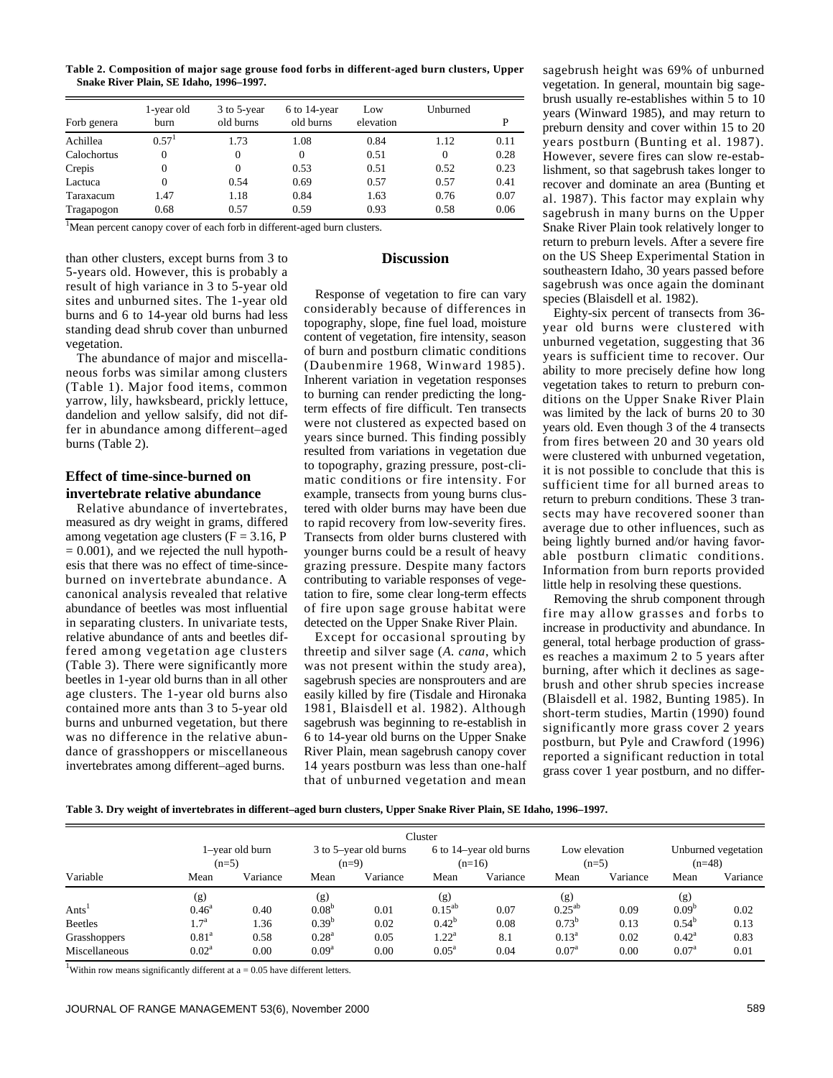**Table 2. Composition of major sage grouse food forbs in different-aged burn clusters, Upper Snake River Plain, SE Idaho, 1996–1997.**

|             | 1-year old        | 3 to 5-year | 6 to 14-year | Low       | Unburned |      |
|-------------|-------------------|-------------|--------------|-----------|----------|------|
| Forb genera | burn              | old burns   | old burns    | elevation |          | D    |
| Achillea    | 0.57 <sup>1</sup> | 1.73        | 1.08         | 0.84      | 1.12     | 0.11 |
| Calochortus | $\theta$          | $\Omega$    | $\Omega$     | 0.51      | 0        | 0.28 |
| Crepis      | 0                 | $\Omega$    | 0.53         | 0.51      | 0.52     | 0.23 |
| Lactuca     | $\Omega$          | 0.54        | 0.69         | 0.57      | 0.57     | 0.41 |
| Taraxacum   | 1.47              | 1.18        | 0.84         | 1.63      | 0.76     | 0.07 |
| Tragapogon  | 0.68              | 0.57        | 0.59         | 0.93      | 0.58     | 0.06 |

 $1$ Mean percent canopy cover of each forb in different-aged burn clusters.

than other clusters, except burns from 3 to 5-years old. However, this is probably a result of high variance in 3 to 5-year old sites and unburned sites. The 1-year old burns and 6 to 14-year old burns had less standing dead shrub cover than unburned vegetation.

The abundance of major and miscellaneous forbs was similar among clusters (Table 1). Major food items, common yarrow, lily, hawksbeard, prickly lettuce, dandelion and yellow salsify, did not differ in abundance among different–aged burns (Table 2).

# **Effect of time-since-burned on invertebrate relative abundance**

Relative abundance of invertebrates, measured as dry weight in grams, differed among vegetation age clusters  $(F = 3.16, P)$  $= 0.001$ ), and we rejected the null hypothesis that there was no effect of time-sinceburned on invertebrate abundance. A canonical analysis revealed that relative abundance of beetles was most influential in separating clusters. In univariate tests, relative abundance of ants and beetles differed among vegetation age clusters (Table 3). There were significantly more beetles in 1-year old burns than in all other age clusters. The 1-year old burns also contained more ants than 3 to 5-year old burns and unburned vegetation, but there was no difference in the relative abundance of grasshoppers or miscellaneous invertebrates among different–aged burns.

#### **Discussion**

Response of vegetation to fire can vary considerably because of differences in topography, slope, fine fuel load, moisture content of vegetation, fire intensity, season of burn and postburn climatic conditions (Daubenmire 1968, Winward 1985). Inherent variation in vegetation responses to burning can render predicting the longterm effects of fire difficult. Ten transects were not clustered as expected based on years since burned. This finding possibly resulted from variations in vegetation due to topography, grazing pressure, post-climatic conditions or fire intensity. For example, transects from young burns clustered with older burns may have been due to rapid recovery from low-severity fires. Transects from older burns clustered with younger burns could be a result of heavy grazing pressure. Despite many factors contributing to variable responses of vegetation to fire, some clear long-term effects of fire upon sage grouse habitat were detected on the Upper Snake River Plain.

Except for occasional sprouting by threetip and silver sage (*A. cana*, which was not present within the study area), sagebrush species are nonsprouters and are easily killed by fire (Tisdale and Hironaka 1981, Blaisdell et al. 1982). Although sagebrush was beginning to re-establish in 6 to 14-year old burns on the Upper Snake River Plain, mean sagebrush canopy cover 14 years postburn was less than one-half that of unburned vegetation and mean

sagebrush height was 69% of unburned vegetation. In general, mountain big sagebrush usually re-establishes within 5 to 10 years (Winward 1985), and may return to preburn density and cover within 15 to 20 years postburn (Bunting et al. 1987). However, severe fires can slow re-establishment, so that sagebrush takes longer to recover and dominate an area (Bunting et al. 1987). This factor may explain why sagebrush in many burns on the Upper Snake River Plain took relatively longer to return to preburn levels. After a severe fire on the US Sheep Experimental Station in southeastern Idaho, 30 years passed before sagebrush was once again the dominant species (Blaisdell et al. 1982).

Eighty-six percent of transects from 36 year old burns were clustered with unburned vegetation, suggesting that 36 years is sufficient time to recover. Our ability to more precisely define how long vegetation takes to return to preburn conditions on the Upper Snake River Plain was limited by the lack of burns 20 to 30 years old. Even though 3 of the 4 transects from fires between 20 and 30 years old were clustered with unburned vegetation, it is not possible to conclude that this is sufficient time for all burned areas to return to preburn conditions. These 3 transects may have recovered sooner than average due to other influences, such as being lightly burned and/or having favorable postburn climatic conditions. Information from burn reports provided little help in resolving these questions.

Removing the shrub component through fire may allow grasses and forbs to increase in productivity and abundance. In general, total herbage production of grasses reaches a maximum 2 to 5 years after burning, after which it declines as sagebrush and other shrub species increase (Blaisdell et al. 1982, Bunting 1985). In short-term studies, Martin (1990) found significantly more grass cover 2 years postburn, but Pyle and Crawford (1996) reported a significant reduction in total grass cover 1 year postburn, and no differ-

**Table 3. Dry weight of invertebrates in different–aged burn clusters, Upper Snake River Plain, SE Idaho, 1996–1997.**

|                   |                            | Cluster  |                                  |          |                                    |          |                          |          |                                 |          |
|-------------------|----------------------------|----------|----------------------------------|----------|------------------------------------|----------|--------------------------|----------|---------------------------------|----------|
|                   | 1-year old burn<br>$(n=5)$ |          | 3 to 5-year old burns<br>$(n=9)$ |          | 6 to 14–year old burns<br>$(n=16)$ |          | Low elevation<br>$(n=5)$ |          | Unburned vegetation<br>$(n=48)$ |          |
| Variable          | Mean                       | Variance | Mean                             | Variance | Mean                               | Variance | Mean                     | Variance | Mean                            | Variance |
|                   | (g)                        |          | (g)                              |          | (g)                                |          | (g)                      |          | (g)                             |          |
| Ants <sup>1</sup> | $0.46^{\rm a}$             | 0.40     | 0.08 <sup>b</sup>                | 0.01     | $0.15^{ab}$                        | 0.07     | $0.25^{ab}$              | 0.09     | $0.09^{p}$                      | 0.02     |
| <b>Beetles</b>    | 1.7 <sup>a</sup>           | 1.36     | $0.39^{b}$                       | 0.02     | $0.42^{b}$                         | 0.08     | $0.73^{b}$               | 0.13     | $0.54^{b}$                      | 0.13     |
| Grasshoppers      | 0.81 <sup>a</sup>          | 0.58     | 0.28 <sup>a</sup>                | 0.05     | $1.22^{\text{a}}$                  | 8.1      | $0.13^{\rm a}$           | 0.02     | $0.42^{\rm a}$                  | 0.83     |
| Miscellaneous     | $0.02^{\rm a}$             | 0.00     | 0.09 <sup>a</sup>                | 0.00     | $0.05^{\rm a}$                     | 0.04     | 0.07 <sup>a</sup>        | 0.00     | 0.07 <sup>a</sup>               | 0.01     |

<sup>1</sup>Within row means significantly different at  $a = 0.05$  have different letters.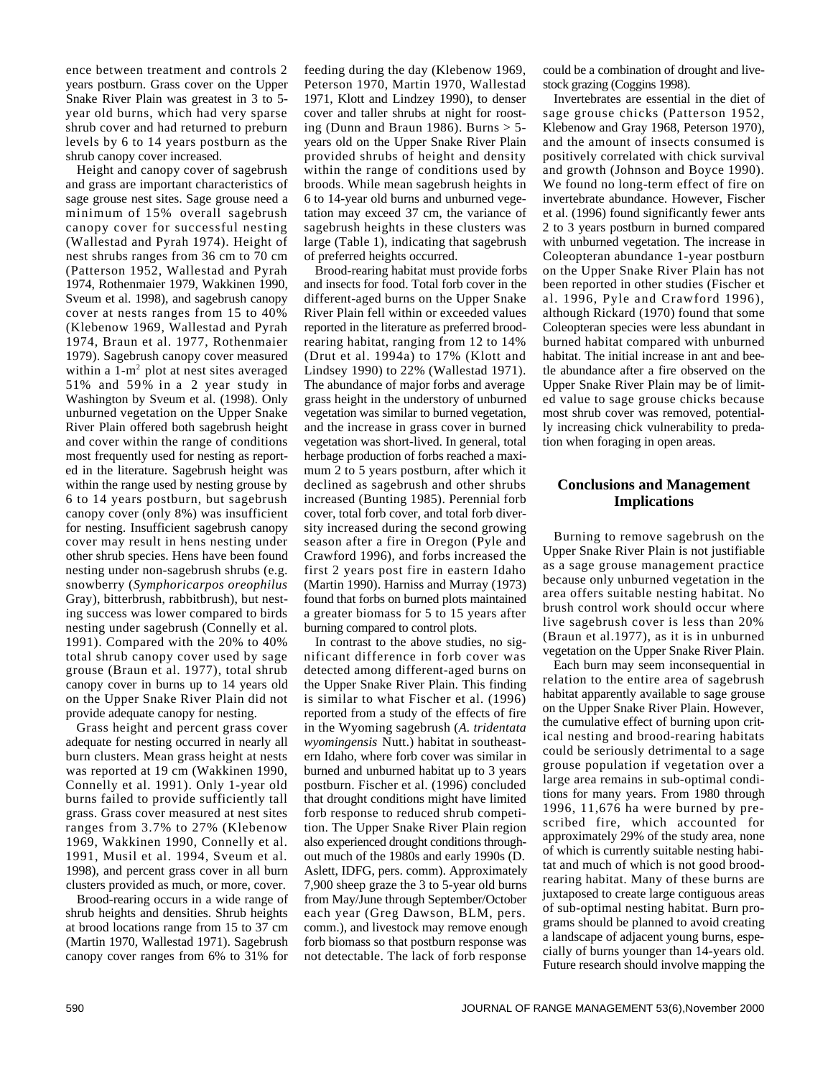ence between treatment and controls 2 years postburn. Grass cover on the Upper Snake River Plain was greatest in 3 to 5 year old burns, which had very sparse shrub cover and had returned to preburn levels by 6 to 14 years postburn as the shrub canopy cover increased.

Height and canopy cover of sagebrush and grass are important characteristics of sage grouse nest sites. Sage grouse need a minimum of 15% overall sagebrush canopy cover for successful nesting (Wallestad and Pyrah 1974). Height of nest shrubs ranges from 36 cm to 70 cm (Patterson 1952, Wallestad and Pyrah 1974, Rothenmaier 1979, Wakkinen 1990, Sveum et al. 1998), and sagebrush canopy cover at nests ranges from 15 to 40% (Klebenow 1969, Wallestad and Pyrah 1974, Braun et al. 1977, Rothenmaier 1979). Sagebrush canopy cover measured within a 1-m<sup>2</sup> plot at nest sites averaged 51% and 59% in a 2 year study in Washington by Sveum et al. (1998). Only unburned vegetation on the Upper Snake River Plain offered both sagebrush height and cover within the range of conditions most frequently used for nesting as reported in the literature. Sagebrush height was within the range used by nesting grouse by 6 to 14 years postburn, but sagebrush canopy cover (only 8%) was insufficient for nesting. Insufficient sagebrush canopy cover may result in hens nesting under other shrub species. Hens have been found nesting under non-sagebrush shrubs (e.g. snowberry (*Symphoricarpos oreophilus* Gray), bitterbrush, rabbitbrush), but nesting success was lower compared to birds nesting under sagebrush (Connelly et al. 1991). Compared with the 20% to 40% total shrub canopy cover used by sage grouse (Braun et al. 1977), total shrub canopy cover in burns up to 14 years old on the Upper Snake River Plain did not provide adequate canopy for nesting.

Grass height and percent grass cover adequate for nesting occurred in nearly all burn clusters. Mean grass height at nests was reported at 19 cm (Wakkinen 1990, Connelly et al. 1991). Only 1-year old burns failed to provide sufficiently tall grass. Grass cover measured at nest sites ranges from 3.7% to 27% (Klebenow 1969, Wakkinen 1990, Connelly et al. 1991, Musil et al. 1994, Sveum et al. 1998), and percent grass cover in all burn clusters provided as much, or more, cover.

Brood-rearing occurs in a wide range of shrub heights and densities. Shrub heights at brood locations range from 15 to 37 cm (Martin 1970, Wallestad 1971). Sagebrush canopy cover ranges from 6% to 31% for

feeding during the day (Klebenow 1969, Peterson 1970, Martin 1970, Wallestad 1971, Klott and Lindzey 1990), to denser cover and taller shrubs at night for roosting (Dunn and Braun 1986). Burns  $> 5$ years old on the Upper Snake River Plain provided shrubs of height and density within the range of conditions used by broods. While mean sagebrush heights in 6 to 14-year old burns and unburned vegetation may exceed 37 cm, the variance of sagebrush heights in these clusters was large (Table 1), indicating that sagebrush of preferred heights occurred.

Brood-rearing habitat must provide forbs and insects for food. Total forb cover in the different-aged burns on the Upper Snake River Plain fell within or exceeded values reported in the literature as preferred broodrearing habitat, ranging from 12 to 14% (Drut et al. 1994a) to 17% (Klott and Lindsey 1990) to 22% (Wallestad 1971). The abundance of major forbs and average grass height in the understory of unburned vegetation was similar to burned vegetation, and the increase in grass cover in burned vegetation was short-lived. In general, total herbage production of forbs reached a maximum 2 to 5 years postburn, after which it declined as sagebrush and other shrubs increased (Bunting 1985). Perennial forb cover, total forb cover, and total forb diversity increased during the second growing season after a fire in Oregon (Pyle and Crawford 1996), and forbs increased the first 2 years post fire in eastern Idaho (Martin 1990). Harniss and Murray (1973) found that forbs on burned plots maintained a greater biomass for 5 to 15 years after burning compared to control plots.

In contrast to the above studies, no significant difference in forb cover was detected among different-aged burns on the Upper Snake River Plain. This finding is similar to what Fischer et al. (1996) reported from a study of the effects of fire in the Wyoming sagebrush (*A. tridentata wyomingensis* Nutt.) habitat in southeastern Idaho, where forb cover was similar in burned and unburned habitat up to 3 years postburn. Fischer et al. (1996) concluded that drought conditions might have limited forb response to reduced shrub competition. The Upper Snake River Plain region also experienced drought conditions throughout much of the 1980s and early 1990s (D. Aslett, IDFG, pers. comm). Approximately 7,900 sheep graze the 3 to 5-year old burns from May/June through September/October each year (Greg Dawson, BLM, pers. comm.), and livestock may remove enough forb biomass so that postburn response was not detectable. The lack of forb response

could be a combination of drought and livestock grazing (Coggins 1998).

Invertebrates are essential in the diet of sage grouse chicks (Patterson 1952, Klebenow and Gray 1968, Peterson 1970), and the amount of insects consumed is positively correlated with chick survival and growth (Johnson and Boyce 1990). We found no long-term effect of fire on invertebrate abundance. However, Fischer et al. (1996) found significantly fewer ants 2 to 3 years postburn in burned compared with unburned vegetation. The increase in Coleopteran abundance 1-year postburn on the Upper Snake River Plain has not been reported in other studies (Fischer et al. 1996, Pyle and Crawford 1996), although Rickard (1970) found that some Coleopteran species were less abundant in burned habitat compared with unburned habitat. The initial increase in ant and beetle abundance after a fire observed on the Upper Snake River Plain may be of limited value to sage grouse chicks because most shrub cover was removed, potentially increasing chick vulnerability to predation when foraging in open areas.

# **Conclusions and Management Implications**

Burning to remove sagebrush on the Upper Snake River Plain is not justifiable as a sage grouse management practice because only unburned vegetation in the area offers suitable nesting habitat. No brush control work should occur where live sagebrush cover is less than 20% (Braun et al.1977), as it is in unburned vegetation on the Upper Snake River Plain.

Each burn may seem inconsequential in relation to the entire area of sagebrush habitat apparently available to sage grouse on the Upper Snake River Plain. However, the cumulative effect of burning upon critical nesting and brood-rearing habitats could be seriously detrimental to a sage grouse population if vegetation over a large area remains in sub-optimal conditions for many years. From 1980 through 1996, 11,676 ha were burned by prescribed fire, which accounted for approximately 29% of the study area, none of which is currently suitable nesting habitat and much of which is not good broodrearing habitat. Many of these burns are juxtaposed to create large contiguous areas of sub-optimal nesting habitat. Burn programs should be planned to avoid creating a landscape of adjacent young burns, especially of burns younger than 14-years old. Future research should involve mapping the